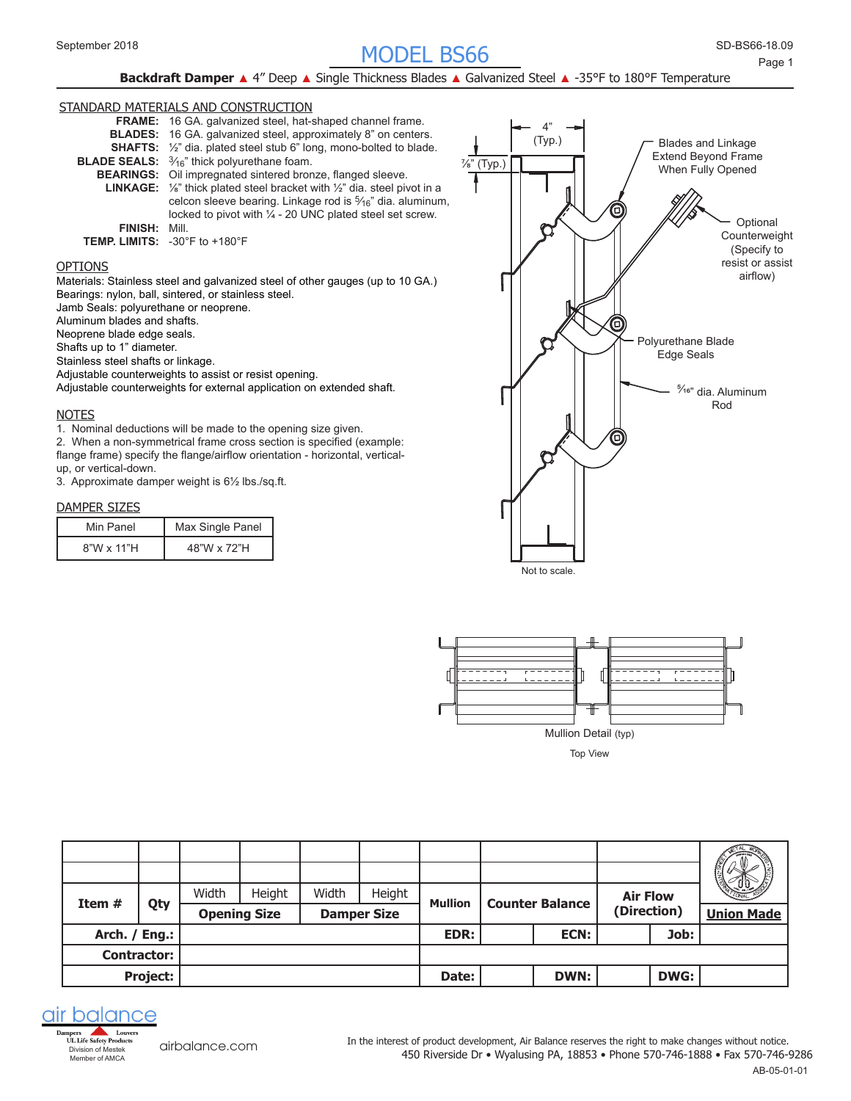# SD-BS66- MODEL BS66 September 2018 18.09

# **Backdraft Damper ▲ 4" Deep ▲ Single Thickness Blades ▲ Galvanized Steel ▲ -35°F to 180°F Temperature**

# STANDARD MATERIALS AND CONSTRUCTION



# OPTIONS

Materials: Stainless steel and galvanized steel of other gauges (up to 10 GA.) Bearings: nylon, ball, sintered, or stainless steel.

Jamb Seals: polyurethane or neoprene.

Aluminum blades and shafts.

Neoprene blade edge seals.

Shafts up to 1" diameter.

Stainless steel shafts or linkage.

Adjustable counterweights to assist or resist opening.

Adjustable counterweights for external application on extended shaft.

#### **NOTES**

1. Nominal deductions will be made to the opening size given.

2. When a non-symmetrical frame cross section is specified (example: flange frame) specify the flange/airflow orientation - horizontal, verticalup, or vertical-down.

3. Approximate damper weight is 6½ lbs./sq.ft.

#### DAMPER SIZES

| Min Panel         | Max Single Panel |
|-------------------|------------------|
| $8"W \times 11"H$ | 48"W x 72"H      |





|                 |                    |       |                     |       |                    |                |                        |             |                 |             | $-10 - 12$        |
|-----------------|--------------------|-------|---------------------|-------|--------------------|----------------|------------------------|-------------|-----------------|-------------|-------------------|
| Item $#$        | Qty                | Width | Height              | Width | Height             | <b>Mullion</b> |                        |             | <b>Air Flow</b> |             |                   |
|                 |                    |       | <b>Opening Size</b> |       | <b>Damper Size</b> |                | <b>Counter Balance</b> |             | (Direction)     |             | <b>Union Made</b> |
| Arch. / Eng.: I |                    |       |                     |       |                    | EDR:           |                        | ECN:        | Job:            |             |                   |
|                 | <b>Contractor:</b> |       |                     |       |                    |                |                        |             |                 |             |                   |
|                 | Project:           |       |                     |       |                    | Date:          |                        | <b>DWN:</b> |                 | <b>DWG:</b> |                   |



[airbalance.com](http://airbalance.com)

450 Riverside Dr • Wyalusing PA, 18853 • Phone 570-746-1888 • Fax 570-746-9286 In the interest of product development, Air Balance reserves the right to make changes without notice.